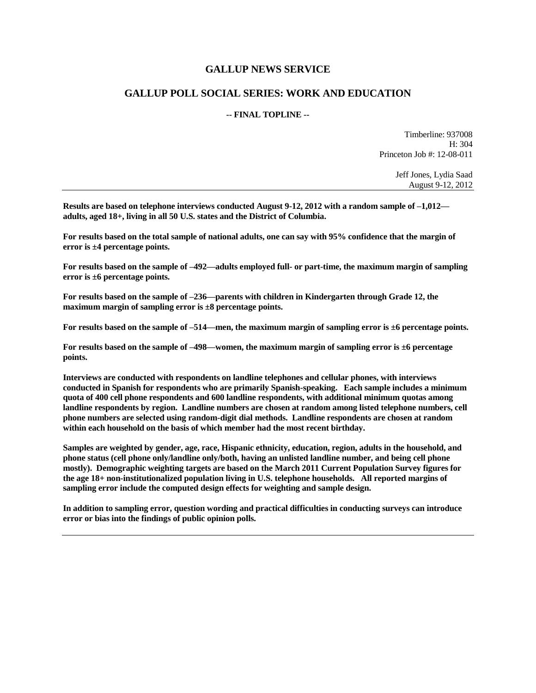### **GALLUP NEWS SERVICE**

## **GALLUP POLL SOCIAL SERIES: WORK AND EDUCATION**

#### **-- FINAL TOPLINE --**

Timberline: 937008 H: 304 Princeton Job #: 12-08-011

> Jeff Jones, Lydia Saad August 9-12, 2012

**Results are based on telephone interviews conducted August 9-12, 2012 with a random sample of –1,012 adults, aged 18+, living in all 50 U.S. states and the District of Columbia.** 

**For results based on the total sample of national adults, one can say with 95% confidence that the margin of error is ±4 percentage points.**

**For results based on the sample of –492—adults employed full- or part-time, the maximum margin of sampling error is ±6 percentage points.**

**For results based on the sample of –236—parents with children in Kindergarten through Grade 12, the maximum margin of sampling error is ±8 percentage points.**

**For results based on the sample of –514—men, the maximum margin of sampling error is ±6 percentage points.**

**For results based on the sample of –498—women, the maximum margin of sampling error is ±6 percentage points.**

**Interviews are conducted with respondents on landline telephones and cellular phones, with interviews conducted in Spanish for respondents who are primarily Spanish-speaking. Each sample includes a minimum quota of 400 cell phone respondents and 600 landline respondents, with additional minimum quotas among landline respondents by region. Landline numbers are chosen at random among listed telephone numbers, cell phone numbers are selected using random-digit dial methods. Landline respondents are chosen at random within each household on the basis of which member had the most recent birthday.** 

**Samples are weighted by gender, age, race, Hispanic ethnicity, education, region, adults in the household, and phone status (cell phone only/landline only/both, having an unlisted landline number, and being cell phone mostly). Demographic weighting targets are based on the March 2011 Current Population Survey figures for the age 18+ non-institutionalized population living in U.S. telephone households. All reported margins of sampling error include the computed design effects for weighting and sample design.** 

**In addition to sampling error, question wording and practical difficulties in conducting surveys can introduce error or bias into the findings of public opinion polls.**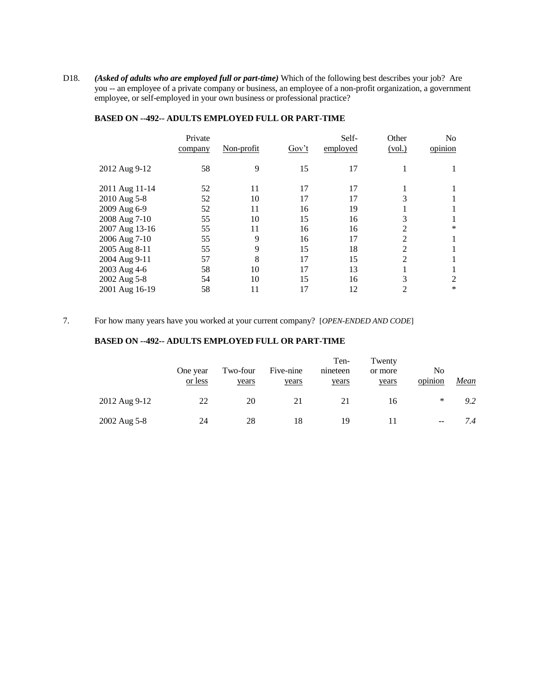D18. *(Asked of adults who are employed full or part-time)* Which of the following best describes your job? Are you -- an employee of a private company or business, an employee of a non-profit organization, a government employee, or self-employed in your own business or professional practice?

|                | Private<br>company | Non-profit | Gov't | Self-<br>employed | Other<br>(vol.) | N <sub>o</sub><br>opinion |
|----------------|--------------------|------------|-------|-------------------|-----------------|---------------------------|
| 2012 Aug 9-12  | 58                 | 9          | 15    | 17                |                 |                           |
| 2011 Aug 11-14 | 52                 | 11         | 17    | 17                |                 |                           |
| 2010 Aug 5-8   | 52                 | 10         | 17    | 17                |                 |                           |
| 2009 Aug 6-9   | 52                 | 11         | 16    | 19                |                 |                           |
| 2008 Aug 7-10  | 55                 | 10         | 15    | 16                | 3               |                           |
| 2007 Aug 13-16 | 55                 | 11         | 16    | 16                | 2               | *                         |
| 2006 Aug 7-10  | 55                 | 9          | 16    | 17                | $\overline{2}$  |                           |
| 2005 Aug 8-11  | 55                 | 9          | 15    | 18                | 2               |                           |
| 2004 Aug 9-11  | 57                 | 8          | 17    | 15                | $\overline{2}$  |                           |
| 2003 Aug 4-6   | 58                 | 10         | 17    | 13                |                 |                           |
| 2002 Aug 5-8   | 54                 | 10         | 15    | 16                | 3               | 2                         |
| 2001 Aug 16-19 | 58                 | 11         | 17    | 12                |                 | $\ast$                    |

#### **BASED ON --492-- ADULTS EMPLOYED FULL OR PART-TIME**

7. For how many years have you worked at your current company? [*OPEN-ENDED AND CODE*]

#### **BASED ON --492-- ADULTS EMPLOYED FULL OR PART-TIME**

|               | One year<br><u>or less</u> | Two-four<br>years | Five-nine<br>years | Ten-<br>nineteen<br>years | Twenty<br>or more<br>years | No<br>opinion | <u>Mean</u> |
|---------------|----------------------------|-------------------|--------------------|---------------------------|----------------------------|---------------|-------------|
| 2012 Aug 9-12 | 22                         | 20                | 21                 | 21                        | 16                         | ∗             | 9.2         |
| 2002 Aug 5-8  | 24                         | 28                | 18                 | 19                        |                            | $- -$         | 7.4         |